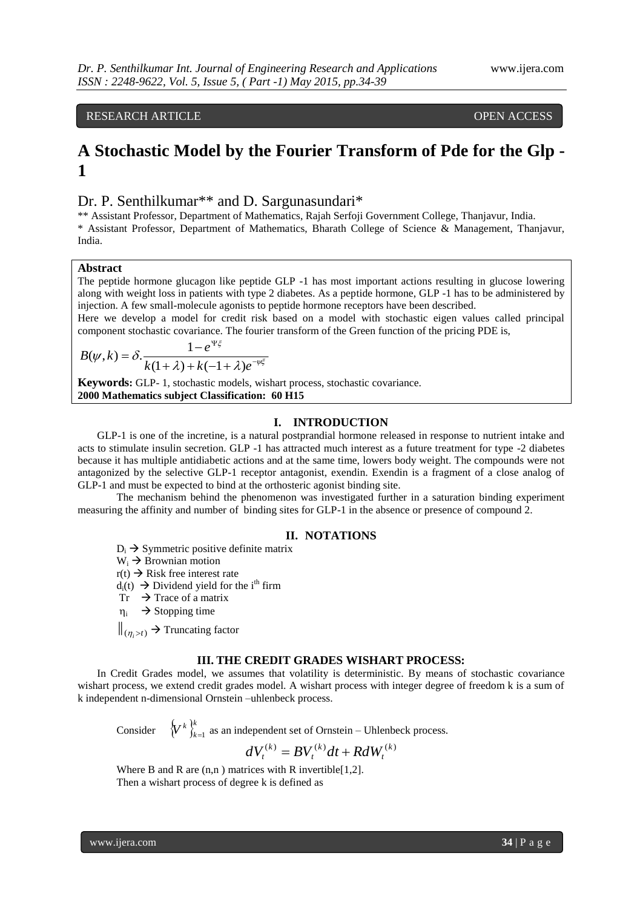RESEARCH ARTICLE **CONSERVERS** OPEN ACCESS

# **A Stochastic Model by the Fourier Transform of Pde for the Glp - 1**

# Dr. P. Senthilkumar\*\* and D. Sargunasundari\*

\*\* Assistant Professor, Department of Mathematics, Rajah Serfoji Government College, Thanjavur, India. \* Assistant Professor, Department of Mathematics, Bharath College of Science & Management, Thanjavur, India.

### **Abstract**

The peptide hormone glucagon like peptide GLP -1 has most important actions resulting in glucose lowering along with weight loss in patients with type 2 diabetes. As a peptide hormone, GLP -1 has to be administered by injection. A few small-molecule agonists to peptide hormone receptors have been described.

Here we develop a model for credit risk based on a model with stochastic eigen values called principal component stochastic covariance. The fourier transform of the Green function of the pricing PDE is,

$$
B(\psi, k) = \delta \cdot \frac{1 - e^{\Psi \xi}}{k(1 + \lambda) + k(-1 + \lambda)e^{-\psi \xi}}
$$

**Keywords:** GLP- 1, stochastic models, wishart process, stochastic covariance. **2000 Mathematics subject Classification: 60 H15**

### **I. INTRODUCTION**

GLP-1 is one of the incretine, is a natural postprandial hormone released in response to nutrient intake and acts to stimulate insulin secretion. GLP -1 has attracted much interest as a future treatment for type -2 diabetes because it has multiple antidiabetic actions and at the same time, lowers body weight. The compounds were not antagonized by the selective GLP-1 receptor antagonist, exendin. Exendin is a fragment of a close analog of GLP-1 and must be expected to bind at the orthosteric agonist binding site.

The mechanism behind the phenomenon was investigated further in a saturation binding experiment measuring the affinity and number of binding sites for GLP-1 in the absence or presence of compound 2.

### **II. NOTATIONS**

 $D_i \rightarrow$  Symmetric positive definite matrix

 $W_i \rightarrow$  Brownian motion

 $r(t) \rightarrow$  Risk free interest rate

 $d_i(t) \rightarrow$  Dividend yield for the i<sup>th</sup> firm

 $Tr \rightarrow Trace$  of a matrix

 $\eta_i \rightarrow$  Stopping time

 $\|_{(\eta_i > t)} \to$  Truncating factor

#### **III. THE CREDIT GRADES WISHART PROCESS:**

In Credit Grades model, we assumes that volatility is deterministic. By means of stochastic covariance wishart process, we extend credit grades model. A wishart process with integer degree of freedom k is a sum of k independent n-dimensional Ornstein –uhlenbeck process.

Consider  $\{V^k\}_{k=1}^k$  $\left\{V^k\right\}_{k=1}^K$  as an independent set of Ornstein – Uhlenbeck process.

$$
dV_t^{(k)} = BV_t^{(k)}dt + RdW_t^{(k)}
$$

Where B and R are  $(n,n)$  matrices with R invertible $[1,2]$ . Then a wishart process of degree k is defined as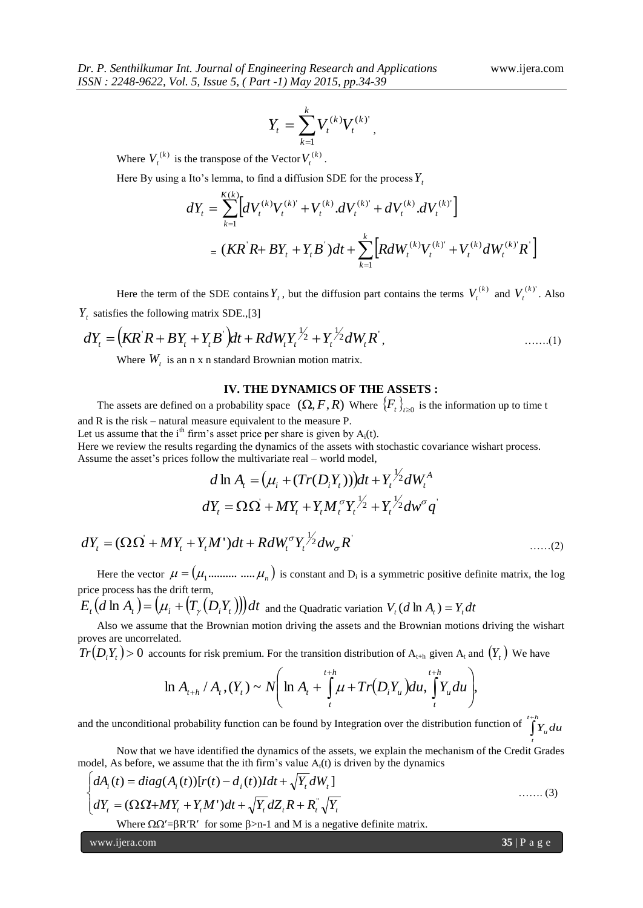$$
Y_t = \sum_{k=1}^k V_t^{(k)} V_t^{(k)'} ,
$$

Where  $V_t^{(k)}$  is the transpose of the Vector  $V_t^{(k)}$ .

Here By using a Ito's lemma, to find a diffusion SDE for the process *Yt*

$$
dY_{t} = \sum_{k=1}^{K(k)} \Big[ dV_{t}^{(k)} V_{t}^{(k)} + V_{t}^{(k)} dV_{t}^{(k)} + dV_{t}^{(k)} dV_{t}^{(k)} \Big] = (KR^{'}R + BY_{t} + Y_{t}B^{'} )dt + \sum_{k=1}^{k} \Big[ R dW_{t}^{(k)} V_{t}^{(k)} + V_{t}^{(k)} dW_{t}^{(k)} R^{'} \Big]
$$

Here the term of the SDE contains  $Y_t$ , but the diffusion part contains the terms  $V_t^{(k)}$  and  $V_t^{(k)}$ . Also *Yt* satisfies the following matrix SDE.,[3]

$$
dY_t = (KR^{\dagger}R + BY_t + Y_tB^{\dagger})dt + RdW_tY_t^{\frac{1}{2}} + Y_t^{\frac{1}{2}}dW_tR^{\dagger}, \qquad \qquad \dots \dots (1)
$$

Where  $W_t$  is an n x n standard Brownian motion matrix.

## **IV. THE DYNAMICS OF THE ASSETS :**

The assets are defined on a probability space  $(\Omega, F, R)$  Where  $\{F_t\}_{t\geq 0}$  is the information up to time t and R is the risk – natural measure equivalent to the measure P.

Let us assume that the i<sup>th</sup> firm's asset price per share is given by  $A_i(t)$ .

Here we review the results regarding the dynamics of the assets with stochastic covariance wishart process. Assume the asset's prices follow the multivariate real – world model,

$$
d \ln A_t = (\mu_i + (Tr(D_i Y_t)))dt + Y_t^{\frac{1}{2}} dW_t^A
$$
  

$$
dY_t = \Omega \Omega + MY_t + Y_t M_t^{\sigma} Y_t^{\frac{1}{2}} + Y_t^{\frac{1}{2}} dw^{\sigma} q^{\frac{1}{2}}
$$

$$
dY_t = (\Omega \Omega + MY_t + Y_t M')dt + R dW_t^{\sigma} Y_t^{\frac{1}{2}} dw_{\sigma} R'
$$
\n(2)

Here the vector  $\mu = (\mu_1$ .......... .....  $\mu_n)$  is constant and  $D_i$  is a symmetric positive definite matrix, the log price process has the drift term,

 $E_{_t}\big(d\ln A_{_t}\big)\!=\!\big(\mu_{_t}+\!\big(T_{_{\gamma}}\big(D_{_t}Y_{_t}\big)\!\big)\!\big)dt\,$  and the Quadratic variation  $V_{_t}(d\ln A_{_t})=Y_{_t}dt$ 

Also we assume that the Brownian motion driving the assets and the Brownian motions driving the wishart proves are uncorrelated.

 $Tr(D_i Y_t) > 0$  accounts for risk premium. For the transition distribution of  $A_{t+h}$  given  $A_t$  and  $(Y_t)$  We have

$$
\ln A_{t+h}/A_t, (Y_t) \sim N\Biggl(\ln A_t + \int_t^{t+h} \mu + Tr(D_t Y_u) du, \int_t^{t+h} Y_u du\Biggr),
$$

and the unconditional probability function can be found by Integration over the distribution function of  $\int_{a}^{+\hbar} Y_u du$ *t*

Now that we have identified the dynamics of the assets, we explain the mechanism of the Credit Grades model, As before, we assume that the ith firm's value  $A<sub>t</sub>(t)$  is driven by the dynamics

$$
\begin{cases}\ndA_i(t) = diag(A_i(t))[r(t) - d_i(t))Idt + \sqrt{Y_t}dW_t] \\
dY_t = (\Omega \Omega + MY_t + Y_t M')dt + \sqrt{Y_t}dZ_t R + R_t^{\dagger}\sqrt{Y_t} \\
\end{cases} \tag{3}
$$

Where  $\Omega \Omega' = \beta R'R'$  for some  $\beta > n-1$  and M is a negative definite matrix.

www.ijera.com **35** | P a g e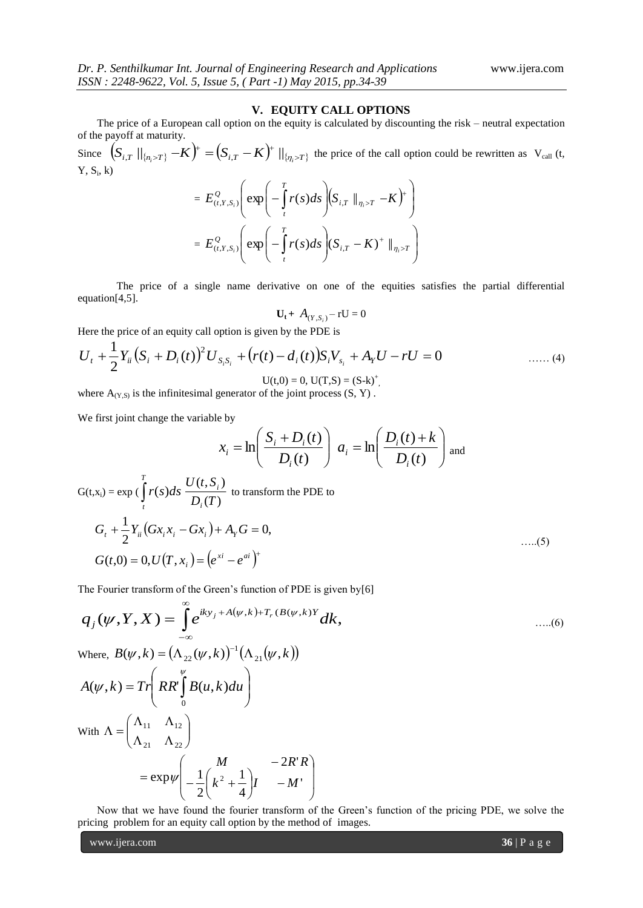### **V. EQUITY CALL OPTIONS**

The price of a European call option on the equity is calculated by discounting the risk – neutral expectation of the payoff at maturity.

Since  $(S_{i,T} ||_{\{n_i > T\}} - K)^+ = (S_{i,T} - K)^+ ||_{\{n_i > T\}}$  the price of the call option could be rewritten as  $V_{\text{call}}(t,$  $Y, S_i, k$ 

$$
= E_{(t,Y,S_i)}^Q \left( \exp \left( -\int_t^T r(s)ds \right) \left( S_{i,T} \parallel_{\eta_i > T} - K \right)^+ \right)
$$
  
=  $E_{(t,Y,S_i)}^Q \left( \exp \left( -\int_t^T r(s)ds \right) \left( S_{i,T} - K \right)^+ \parallel_{\eta_i > T} \right)$ 

The price of a single name derivative on one of the equities satisfies the partial differential equation[4,5].

$$
\mathbf{U}_t + A_{(Y,S_i)} - r\mathbf{U} = 0
$$

Here the price of an equity call option is given by the PDE is

$$
U_{t} + \frac{1}{2}Y_{ii}(S_{i} + D_{i}(t))^{2}U_{S_{i}S_{i}} + (r(t) - d_{i}(t))S_{i}V_{S_{i}} + A_{Y}U - rU = 0
$$
\n
$$
U(t,0) = 0, U(T,S) = (S-k)^{+}
$$
\n
$$
(4)
$$

 $U(t,0) = 0$ ,  $U(T,S) = (S-k)^+$ , where  $A_{(Y,S)}$  is the infinitesimal generator of the joint process  $(S, Y)$ .

We first joint change the variable by

*T*

$$
x_i = \ln\left(\frac{S_i + D_i(t)}{D_i(t)}\right) a_i = \ln\left(\frac{D_i(t) + k}{D_i(t)}\right)
$$
 and  

$$
\frac{U(t, S_i)}{D_i(T)}
$$
 to transform the PDE to

$$
G(t,x_i) = \exp\left(\int_t r(s)ds \frac{\partial (t,x_i)}{\partial t} \right)
$$
 to transform the PDE to  
\n
$$
G_t + \frac{1}{2} Y_{ii} \left(Gx_i x_i - Gx_i\right) + A_Y G = 0,
$$
\n....(5)  
\n
$$
G(t,0) = 0, U(T,x_i) = \left(e^{xt} - e^{at}\right)^+
$$

The Fourier transform of the Green's function of PDE is given by[6]

$$
q_j(\psi, Y, X) = \int_{-\infty}^{\infty} e^{iky_j + A(\psi, k) + T_r(B(\psi, k)Y)} dk,
$$
\n....(6)  
\nWhere,  $B(\psi, k) = (\Lambda_{23}(\psi, k))^{-1} (\Lambda_{31}(\psi, k))$ 

Where,  $B(\psi, k) = (\Lambda_{22}(\psi, k))^{-1} (\Lambda_{21}(\psi, k))$ 

$$
A(\psi, k) = Tr \left(RR'\int_{0}^{\psi} B(u, k) du\right)
$$
  
With  $\Lambda = \begin{pmatrix} \Lambda_{11} & \Lambda_{12} \\ \Lambda_{21} & \Lambda_{22} \end{pmatrix}$   

$$
= \exp \psi \left(-\frac{1}{2} \begin{pmatrix} M & -2R'R \\ k^2 + \frac{1}{4} \end{pmatrix} I - M'\right)
$$

Now that we have found the fourier transform of the Green's function of the pricing PDE, we solve the pricing problem for an equity call option by the method of images.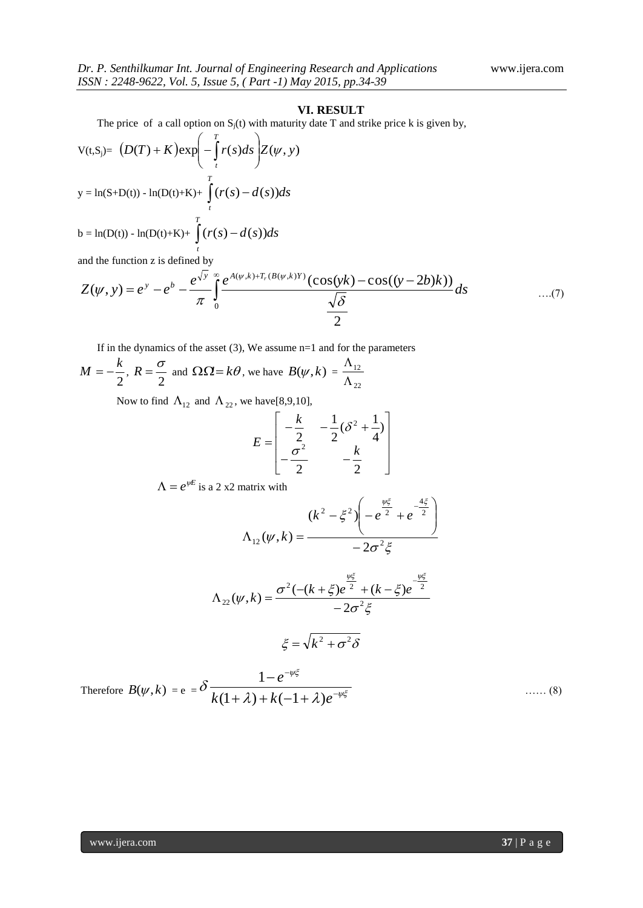### **VI. RESULT**

The price of a call option on  $S_j(t)$  with maturity date T and strike price k is given by,

$$
V(t,Sj) = (D(T) + K)exp\left(-\int_{t}^{T} r(s)ds\right)Z(\psi, y)
$$
  
\n
$$
y = ln(S+D(t)) - ln(D(t)+K) + \int_{t}^{T} (r(s) - d(s))ds
$$
  
\n
$$
b = ln(D(t)) - ln(D(t)+K) + \int_{t}^{T} (r(s) - d(s))ds
$$

*t* and the function z is defined by

$$
b = \ln(D(t)) - \ln(D(t) + K) + \int_{t}^{t} (r(s) - d(s))ds
$$
  
and the function z is defined by  

$$
Z(\psi, y) = e^{y} - e^{b} - \frac{e^{\sqrt{y}}}{\pi} \int_{0}^{\infty} \frac{e^{A(\psi, k) + T_r(B(\psi, k)Y)} (\cos(yk) - \cos((y - 2b)k))}{\sqrt{\delta}} ds
$$
...(7)

If in the dynamics of the asset  $(3)$ , We assume n=1 and for the parameters

$$
M = -\frac{k}{2}
$$
,  $R = \frac{\sigma}{2}$  and  $\Omega \Omega = k\theta$ , we have  $B(\psi, k) = \frac{\Lambda_{12}}{\Lambda_{22}}$ 

Now to find  $\Lambda_{12}$  and  $\Lambda_{22}$ , we have[8,9,10],

$$
E = \begin{bmatrix} -\frac{k}{2} & -\frac{1}{2}(\delta^2 + \frac{1}{4}) \\ -\frac{\sigma^2}{2} & -\frac{k}{2} \end{bmatrix}
$$

 $\Lambda = e^{\psi E}$  is a 2 x2 matrix with

$$
\Lambda_{12}(\psi, k) = \frac{(k^2 - \xi^2) \left(-e^{\frac{\psi \xi}{2}} + e^{-\frac{4\xi}{2}}\right)}{-2\sigma^2 \xi}
$$

$$
\Lambda_{22}(\psi, k) = \frac{\sigma^2 (- (k + \xi)e^{\frac{\psi \xi}{2}} + (k - \xi)e^{-\frac{\psi \xi}{2}}}{-2\sigma^2 \xi}
$$

$$
\xi = \sqrt{k^2 + \sigma^2 \delta}
$$

Therefore  $B(\psi, k) = e = 0$   $\frac{1}{k(1 + 1) + k(-1 + 1)e^{-\psi\xi}}$ Ψξ  $\delta \frac{1}{k(1+\lambda)+k(-1+\lambda)e^{-}}$ - $+\lambda$ ) +  $k(-1+)$  $\overline{a}$  $k(1+\lambda) + k(-1+\lambda)e$ *e*  $(1 + \lambda) + k(-1 + \lambda)$ 1 …… (8)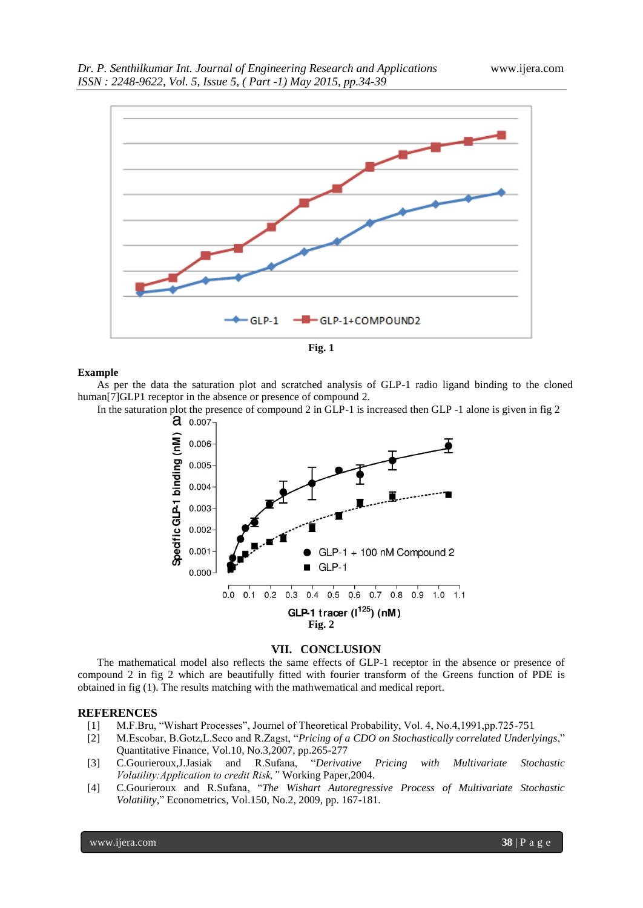



### **Example**

As per the data the saturation plot and scratched analysis of GLP-1 radio ligand binding to the cloned human<sup>[7]</sup>GLP1 receptor in the absence or presence of compound 2.

In the saturation plot the presence of compound 2 in GLP-1 is increased then GLP -1 alone is given in fig 2<br> $\frac{2}{\sqrt{1}}$ 



### **VII. CONCLUSION**

The mathematical model also reflects the same effects of GLP-1 receptor in the absence or presence of compound 2 in fig 2 which are beautifully fitted with fourier transform of the Greens function of PDE is obtained in fig (1). The results matching with the mathwematical and medical report.

### **REFERENCES**

- [1] M.F.Bru, "Wishart Processes", Journel of Theoretical Probability, Vol. 4, No.4,1991,pp.725-751
- [2] M.Escobar, B.Gotz,L.Seco and R.Zagst, "*Pricing of a CDO on Stochastically correlated Underlyings*," Quantitative Finance, Vol.10, No.3,2007, pp.265-277
- [3] C.Gourieroux,J.Jasiak and R.Sufana, "*Derivative Pricing with Multivariate Stochastic Volatility:Application to credit Risk,"* Working Paper,2004.
- [4] C.Gourieroux and R.Sufana, "*The Wishart Autoregressive Process of Multivariate Stochastic Volatility*," Econometrics, Vol.150, No.2, 2009, pp. 167-181.

www.ijera.com **38** | P a g e